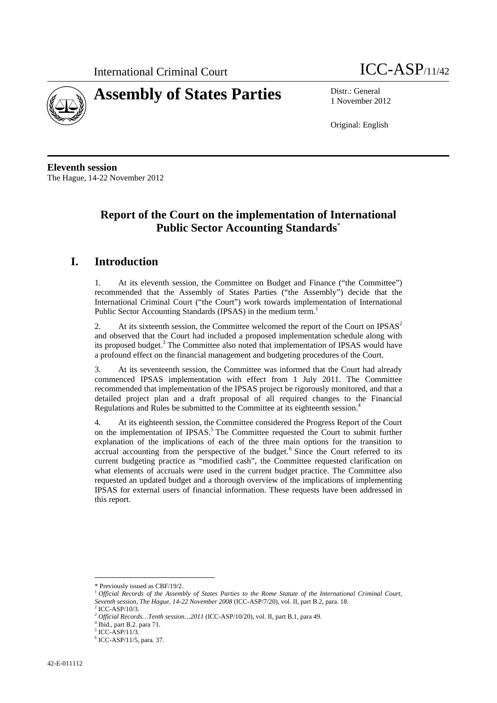



1 November 2012

Original: English

**Eleventh session**  The Hague, 14-22 November 2012

# **Report of the Court on the implementation of International Public Sector Accounting Standards**\*

### **I. Introduction**

1. At its eleventh session, the Committee on Budget and Finance ("the Committee") recommended that the Assembly of States Parties ("the Assembly") decide that the International Criminal Court ("the Court") work towards implementation of International Public Sector Accounting Standards (IPSAS) in the medium term.<sup>1</sup>

2. At its sixteenth session, the Committee welcomed the report of the Court on IPSAS<sup>2</sup> and observed that the Court had included a proposed implementation schedule along with its proposed budget. $3$  The Committee also noted that implementation of IPSAS would have a profound effect on the financial management and budgeting procedures of the Court.

3. At its seventeenth session, the Committee was informed that the Court had already commenced IPSAS implementation with effect from 1 July 2011. The Committee recommended that implementation of the IPSAS project be rigorously monitored, and that a detailed project plan and a draft proposal of all required changes to the Financial Regulations and Rules be submitted to the Committee at its eighteenth session.4

4. At its eighteenth session, the Committee considered the Progress Report of the Court on the implementation of IPSAS.<sup>5</sup> The Committee requested the Court to submit further explanation of the implications of each of the three main options for the transition to accrual accounting from the perspective of the budget.<sup>6</sup> Since the Court referred to its current budgeting practice as "modified cash", the Committee requested clarification on what elements of accruals were used in the current budget practice. The Committee also requested an updated budget and a thorough overview of the implications of implementing IPSAS for external users of financial information. These requests have been addressed in this report.

 $\overline{a}$ \* Previously issued as CBF/19/2.

<sup>1</sup> *Official Records of the Assembly of States Parties to the Rome Statute of the International Criminal Court, Seventh session, The Hague, 14-22 November 2008* (ICC-ASP/7/20), vol. II, part B.2, para. 18.

 $2$  ICC-ASP/10/3.

<sup>2</sup> *Official Records…Tenth session…2011* (ICC-ASP/10/20), vol. II, part B.1, para 49. 4

 $4$  Ibid., part B.2. para 71.

<sup>5</sup> ICC-ASP/11/3.

<sup>6</sup> ICC-ASP/11/5, para. 37.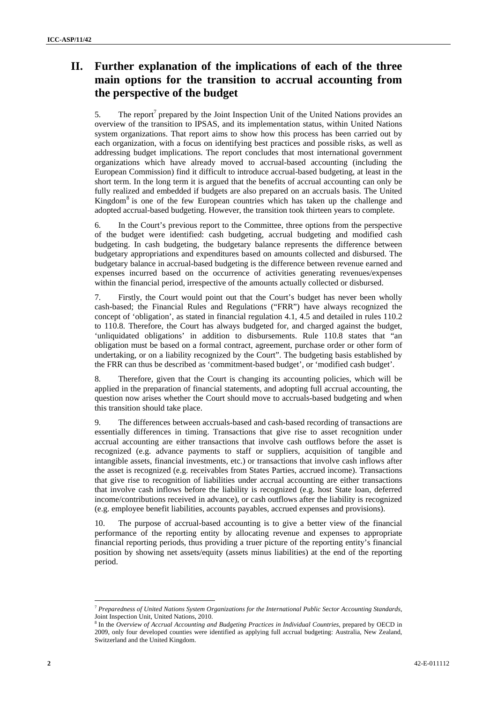# **II. Further explanation of the implications of each of the three main options for the transition to accrual accounting from the perspective of the budget**

5. The report<sup>7</sup> prepared by the Joint Inspection Unit of the United Nations provides an overview of the transition to IPSAS, and its implementation status, within United Nations system organizations. That report aims to show how this process has been carried out by each organization, with a focus on identifying best practices and possible risks, as well as addressing budget implications. The report concludes that most international government organizations which have already moved to accrual-based accounting (including the European Commission) find it difficult to introduce accrual-based budgeting, at least in the short term. In the long term it is argued that the benefits of accrual accounting can only be fully realized and embedded if budgets are also prepared on an accruals basis. The United Kingdom<sup>8</sup> is one of the few European countries which has taken up the challenge and adopted accrual-based budgeting. However, the transition took thirteen years to complete.

6. In the Court's previous report to the Committee, three options from the perspective of the budget were identified: cash budgeting, accrual budgeting and modified cash budgeting. In cash budgeting, the budgetary balance represents the difference between budgetary appropriations and expenditures based on amounts collected and disbursed. The budgetary balance in accrual-based budgeting is the difference between revenue earned and expenses incurred based on the occurrence of activities generating revenues/expenses within the financial period, irrespective of the amounts actually collected or disbursed.

7. Firstly, the Court would point out that the Court's budget has never been wholly cash-based; the Financial Rules and Regulations ("FRR") have always recognized the concept of 'obligation', as stated in financial regulation 4.1, 4.5 and detailed in rules 110.2 to 110.8. Therefore, the Court has always budgeted for, and charged against the budget, 'unliquidated obligations' in addition to disbursements. Rule 110.8 states that "an obligation must be based on a formal contract, agreement, purchase order or other form of undertaking, or on a liability recognized by the Court". The budgeting basis established by the FRR can thus be described as 'commitment-based budget', or 'modified cash budget'.

8. Therefore, given that the Court is changing its accounting policies, which will be applied in the preparation of financial statements, and adopting full accrual accounting, the question now arises whether the Court should move to accruals-based budgeting and when this transition should take place.

9. The differences between accruals-based and cash-based recording of transactions are essentially differences in timing. Transactions that give rise to asset recognition under accrual accounting are either transactions that involve cash outflows before the asset is recognized (e.g. advance payments to staff or suppliers, acquisition of tangible and intangible assets, financial investments, etc.) or transactions that involve cash inflows after the asset is recognized (e.g. receivables from States Parties, accrued income). Transactions that give rise to recognition of liabilities under accrual accounting are either transactions that involve cash inflows before the liability is recognized (e.g. host State loan, deferred income/contributions received in advance), or cash outflows after the liability is recognized (e.g. employee benefit liabilities, accounts payables, accrued expenses and provisions).

10. The purpose of accrual-based accounting is to give a better view of the financial performance of the reporting entity by allocating revenue and expenses to appropriate financial reporting periods, thus providing a truer picture of the reporting entity's financial position by showing net assets/equity (assets minus liabilities) at the end of the reporting period.

<sup>7</sup> *Preparedness of United Nations System Organizations for the International Public Sector Accounting Standards*, Joint Inspection Unit, United Nations, 2010.

<sup>8</sup> In the *Overview of Accrual Accounting and Budgeting Practices in Individual Countries*, prepared by OECD in 2009, only four developed counties were identified as applying full accrual budgeting: Australia, New Zealand, Switzerland and the United Kingdom.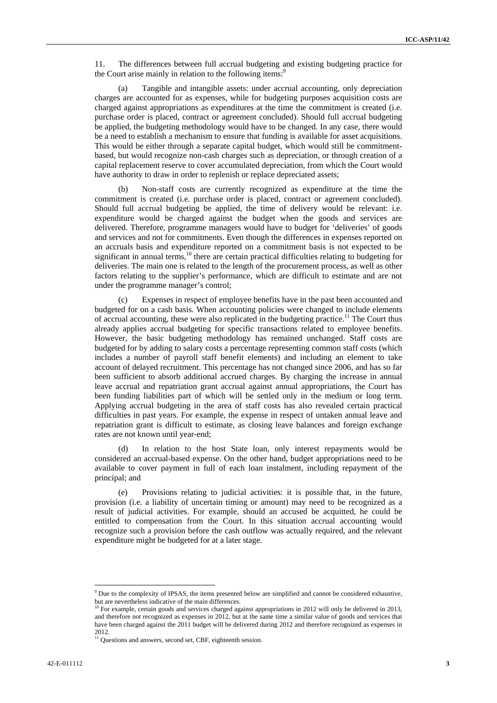11. The differences between full accrual budgeting and existing budgeting practice for the Court arise mainly in relation to the following items:<sup>9</sup>

(a) Tangible and intangible assets: under accrual accounting, only depreciation charges are accounted for as expenses, while for budgeting purposes acquisition costs are charged against appropriations as expenditures at the time the commitment is created (i.e. purchase order is placed, contract or agreement concluded). Should full accrual budgeting be applied, the budgeting methodology would have to be changed. In any case, there would be a need to establish a mechanism to ensure that funding is available for asset acquisitions. This would be either through a separate capital budget, which would still be commitmentbased, but would recognize non-cash charges such as depreciation, or through creation of a capital replacement reserve to cover accumulated depreciation, from which the Court would have authority to draw in order to replenish or replace depreciated assets;

(b) Non-staff costs are currently recognized as expenditure at the time the commitment is created (i.e. purchase order is placed, contract or agreement concluded). Should full accrual budgeting be applied, the time of delivery would be relevant: i.e. expenditure would be charged against the budget when the goods and services are delivered. Therefore, programme managers would have to budget for 'deliveries' of goods and services and not for commitments. Even though the differences in expenses reported on an accruals basis and expenditure reported on a commitment basis is not expected to be significant in annual terms, $^{10}$  there are certain practical difficulties relating to budgeting for deliveries. The main one is related to the length of the procurement process, as well as other factors relating to the supplier's performance, which are difficult to estimate and are not under the programme manager's control;

(c) Expenses in respect of employee benefits have in the past been accounted and budgeted for on a cash basis. When accounting policies were changed to include elements of accrual accounting, these were also replicated in the budgeting practice.<sup>11</sup> The Court thus already applies accrual budgeting for specific transactions related to employee benefits. However, the basic budgeting methodology has remained unchanged. Staff costs are budgeted for by adding to salary costs a percentage representing common staff costs (which includes a number of payroll staff benefit elements) and including an element to take account of delayed recruitment. This percentage has not changed since 2006, and has so far been sufficient to absorb additional accrued charges. By charging the increase in annual leave accrual and repatriation grant accrual against annual appropriations, the Court has been funding liabilities part of which will be settled only in the medium or long term. Applying accrual budgeting in the area of staff costs has also revealed certain practical difficulties in past years. For example, the expense in respect of untaken annual leave and repatriation grant is difficult to estimate, as closing leave balances and foreign exchange rates are not known until year-end;

In relation to the host State loan, only interest repayments would be considered an accrual-based expense. On the other hand, budget appropriations need to be available to cover payment in full of each loan instalment, including repayment of the principal; and

(e) Provisions relating to judicial activities: it is possible that, in the future, provision (i.e. a liability of uncertain timing or amount) may need to be recognized as a result of judicial activities. For example, should an accused be acquitted, he could be entitled to compensation from the Court. In this situation accrual accounting would recognize such a provision before the cash outflow was actually required, and the relevant expenditure might be budgeted for at a later stage.

<sup>&</sup>lt;sup>9</sup> Due to the complexity of IPSAS, the items presented below are simplified and cannot be considered exhaustive, but are nevertheless indicative of the main differences.

<sup>&</sup>lt;sup>10</sup> For example, certain goods and services charged against appropriations in 2012 will only be delivered in 2013, and therefore not recognized as expenses in 2012, but at the same time a similar value of goods and services that have been charged against the 2011 budget will be delivered during 2012 and therefore recognized as expenses in 2012.

 $\frac{11}{11}$  Questions and answers, second set, CBF, eighteenth session.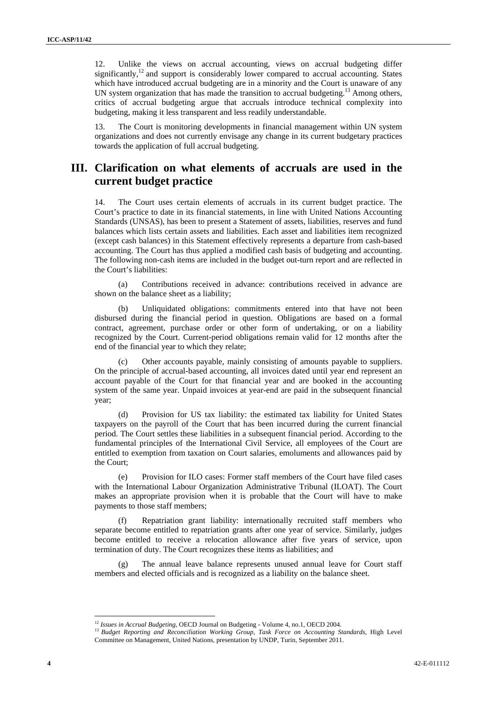12. Unlike the views on accrual accounting, views on accrual budgeting differ significantly, $12$  and support is considerably lower compared to accrual accounting. States which have introduced accrual budgeting are in a minority and the Court is unaware of any UN system organization that has made the transition to accrual budgeting.<sup>13</sup> Among others, critics of accrual budgeting argue that accruals introduce technical complexity into budgeting, making it less transparent and less readily understandable.

13. The Court is monitoring developments in financial management within UN system organizations and does not currently envisage any change in its current budgetary practices towards the application of full accrual budgeting.

#### **III. Clarification on what elements of accruals are used in the current budget practice**

14. The Court uses certain elements of accruals in its current budget practice. The Court's practice to date in its financial statements, in line with United Nations Accounting Standards (UNSAS), has been to present a Statement of assets, liabilities, reserves and fund balances which lists certain assets and liabilities. Each asset and liabilities item recognized (except cash balances) in this Statement effectively represents a departure from cash-based accounting. The Court has thus applied a modified cash basis of budgeting and accounting. The following non-cash items are included in the budget out-turn report and are reflected in the Court's liabilities:

(a) Contributions received in advance: contributions received in advance are shown on the balance sheet as a liability;

(b) Unliquidated obligations: commitments entered into that have not been disbursed during the financial period in question. Obligations are based on a formal contract, agreement, purchase order or other form of undertaking, or on a liability recognized by the Court. Current-period obligations remain valid for 12 months after the end of the financial year to which they relate;

(c) Other accounts payable, mainly consisting of amounts payable to suppliers. On the principle of accrual-based accounting, all invoices dated until year end represent an account payable of the Court for that financial year and are booked in the accounting system of the same year. Unpaid invoices at year-end are paid in the subsequent financial year;

(d) Provision for US tax liability: the estimated tax liability for United States taxpayers on the payroll of the Court that has been incurred during the current financial period. The Court settles these liabilities in a subsequent financial period. According to the fundamental principles of the International Civil Service, all employees of the Court are entitled to exemption from taxation on Court salaries, emoluments and allowances paid by the Court;

(e) Provision for ILO cases: Former staff members of the Court have filed cases with the International Labour Organization Administrative Tribunal (ILOAT). The Court makes an appropriate provision when it is probable that the Court will have to make payments to those staff members;

(f) Repatriation grant liability: internationally recruited staff members who separate become entitled to repatriation grants after one year of service. Similarly, judges become entitled to receive a relocation allowance after five years of service, upon termination of duty. The Court recognizes these items as liabilities; and

(g) The annual leave balance represents unused annual leave for Court staff members and elected officials and is recognized as a liability on the balance sheet.

<sup>&</sup>lt;sup>12</sup> *Issues in Accrual Budgeting*, OECD Journal on Budgeting - Volume 4, no.1, OECD 2004.<br><sup>13</sup> *Budget Reporting and Reconciliation Working Group, Task Force on Accounting Standards*, High Level Committee on Management, United Nations, presentation by UNDP, Turin, September 2011.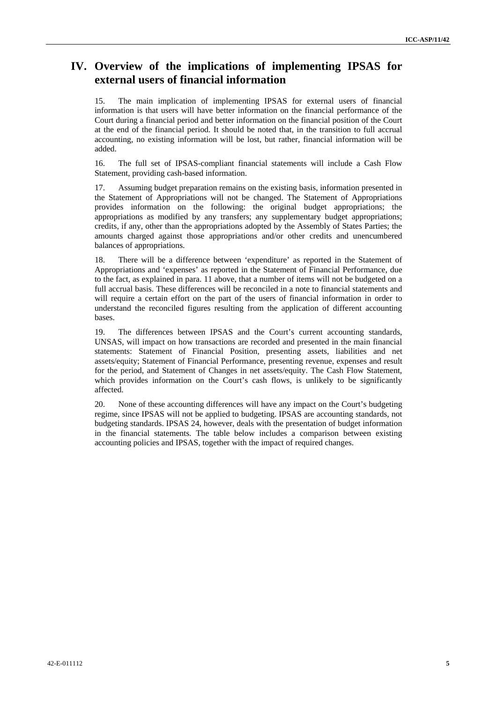### **IV. Overview of the implications of implementing IPSAS for external users of financial information**

15. The main implication of implementing IPSAS for external users of financial information is that users will have better information on the financial performance of the Court during a financial period and better information on the financial position of the Court at the end of the financial period. It should be noted that, in the transition to full accrual accounting, no existing information will be lost, but rather, financial information will be added.

16. The full set of IPSAS-compliant financial statements will include a Cash Flow Statement, providing cash-based information.

17. Assuming budget preparation remains on the existing basis, information presented in the Statement of Appropriations will not be changed. The Statement of Appropriations provides information on the following: the original budget appropriations; the appropriations as modified by any transfers; any supplementary budget appropriations; credits, if any, other than the appropriations adopted by the Assembly of States Parties; the amounts charged against those appropriations and/or other credits and unencumbered balances of appropriations.

18. There will be a difference between 'expenditure' as reported in the Statement of Appropriations and 'expenses' as reported in the Statement of Financial Performance, due to the fact, as explained in para. 11 above, that a number of items will not be budgeted on a full accrual basis. These differences will be reconciled in a note to financial statements and will require a certain effort on the part of the users of financial information in order to understand the reconciled figures resulting from the application of different accounting bases.

19. The differences between IPSAS and the Court's current accounting standards, UNSAS, will impact on how transactions are recorded and presented in the main financial statements: Statement of Financial Position, presenting assets, liabilities and net assets/equity; Statement of Financial Performance, presenting revenue, expenses and result for the period, and Statement of Changes in net assets/equity. The Cash Flow Statement, which provides information on the Court's cash flows, is unlikely to be significantly affected.

20. None of these accounting differences will have any impact on the Court's budgeting regime, since IPSAS will not be applied to budgeting. IPSAS are accounting standards, not budgeting standards. IPSAS 24, however, deals with the presentation of budget information in the financial statements. The table below includes a comparison between existing accounting policies and IPSAS, together with the impact of required changes.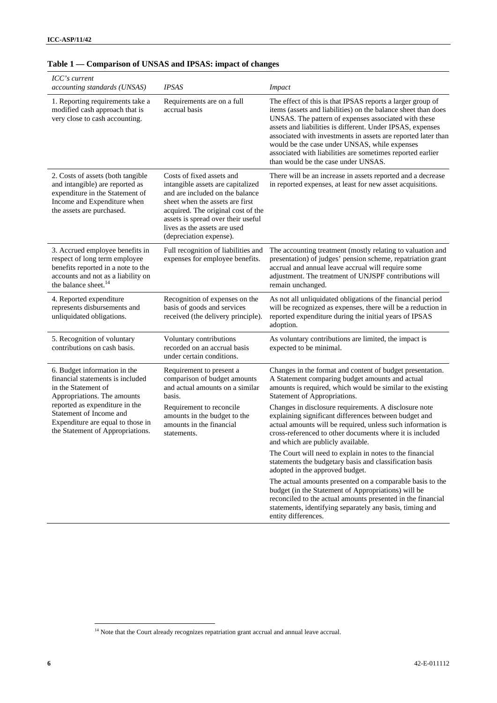| ICC's current<br>accounting standards (UNSAS)                                                                                                                                                                                                                | <b>IPSAS</b>                                                                                                                                                                                                                                                                | <b>Impact</b>                                                                                                                                                                                                                                                                                                                                                                                                                                                            |  |  |
|--------------------------------------------------------------------------------------------------------------------------------------------------------------------------------------------------------------------------------------------------------------|-----------------------------------------------------------------------------------------------------------------------------------------------------------------------------------------------------------------------------------------------------------------------------|--------------------------------------------------------------------------------------------------------------------------------------------------------------------------------------------------------------------------------------------------------------------------------------------------------------------------------------------------------------------------------------------------------------------------------------------------------------------------|--|--|
| 1. Reporting requirements take a<br>modified cash approach that is<br>very close to cash accounting.                                                                                                                                                         | Requirements are on a full<br>accrual basis                                                                                                                                                                                                                                 | The effect of this is that IPSAS reports a larger group of<br>items (assets and liabilities) on the balance sheet than does<br>UNSAS. The pattern of expenses associated with these<br>assets and liabilities is different. Under IPSAS, expenses<br>associated with investments in assets are reported later than<br>would be the case under UNSAS, while expenses<br>associated with liabilities are sometimes reported earlier<br>than would be the case under UNSAS. |  |  |
| 2. Costs of assets (both tangible<br>and intangible) are reported as<br>expenditure in the Statement of<br>Income and Expenditure when<br>the assets are purchased.                                                                                          | Costs of fixed assets and<br>intangible assets are capitalized<br>and are included on the balance<br>sheet when the assets are first<br>acquired. The original cost of the<br>assets is spread over their useful<br>lives as the assets are used<br>(depreciation expense). | There will be an increase in assets reported and a decrease<br>in reported expenses, at least for new asset acquisitions.                                                                                                                                                                                                                                                                                                                                                |  |  |
| 3. Accrued employee benefits in<br>respect of long term employee<br>benefits reported in a note to the<br>accounts and not as a liability on<br>the balance sheet. <sup>14</sup>                                                                             | Full recognition of liabilities and<br>expenses for employee benefits.                                                                                                                                                                                                      | The accounting treatment (mostly relating to valuation and<br>presentation) of judges' pension scheme, repatriation grant<br>accrual and annual leave accrual will require some<br>adjustment. The treatment of UNJSPF contributions will<br>remain unchanged.                                                                                                                                                                                                           |  |  |
| 4. Reported expenditure<br>represents disbursements and<br>unliquidated obligations.                                                                                                                                                                         | Recognition of expenses on the<br>basis of goods and services<br>received (the delivery principle).                                                                                                                                                                         | As not all unliquidated obligations of the financial period<br>will be recognized as expenses, there will be a reduction in<br>reported expenditure during the initial years of IPSAS<br>adoption.                                                                                                                                                                                                                                                                       |  |  |
| 5. Recognition of voluntary<br>contributions on cash basis.                                                                                                                                                                                                  | Voluntary contributions<br>recorded on an accrual basis<br>under certain conditions.                                                                                                                                                                                        | As voluntary contributions are limited, the impact is<br>expected to be minimal.                                                                                                                                                                                                                                                                                                                                                                                         |  |  |
| 6. Budget information in the<br>financial statements is included<br>in the Statement of<br>Appropriations. The amounts<br>reported as expenditure in the<br>Statement of Income and<br>Expenditure are equal to those in<br>the Statement of Appropriations. | Requirement to present a<br>comparison of budget amounts<br>and actual amounts on a similar<br>basis.                                                                                                                                                                       | Changes in the format and content of budget presentation.<br>A Statement comparing budget amounts and actual<br>amounts is required, which would be similar to the existing<br>Statement of Appropriations.                                                                                                                                                                                                                                                              |  |  |
|                                                                                                                                                                                                                                                              | Requirement to reconcile<br>amounts in the budget to the<br>amounts in the financial<br>statements.                                                                                                                                                                         | Changes in disclosure requirements. A disclosure note<br>explaining significant differences between budget and<br>actual amounts will be required, unless such information is<br>cross-referenced to other documents where it is included<br>and which are publicly available.                                                                                                                                                                                           |  |  |
|                                                                                                                                                                                                                                                              |                                                                                                                                                                                                                                                                             | The Court will need to explain in notes to the financial<br>statements the budgetary basis and classification basis<br>adopted in the approved budget.                                                                                                                                                                                                                                                                                                                   |  |  |
|                                                                                                                                                                                                                                                              |                                                                                                                                                                                                                                                                             | The actual amounts presented on a comparable basis to the<br>budget (in the Statement of Appropriations) will be<br>reconciled to the actual amounts presented in the financial<br>statements, identifying separately any basis, timing and<br>entity differences.                                                                                                                                                                                                       |  |  |

### **Table 1 — Comparison of UNSAS and IPSAS: impact of changes**

 $14$  Note that the Court already recognizes repatriation grant accrual and annual leave accrual.